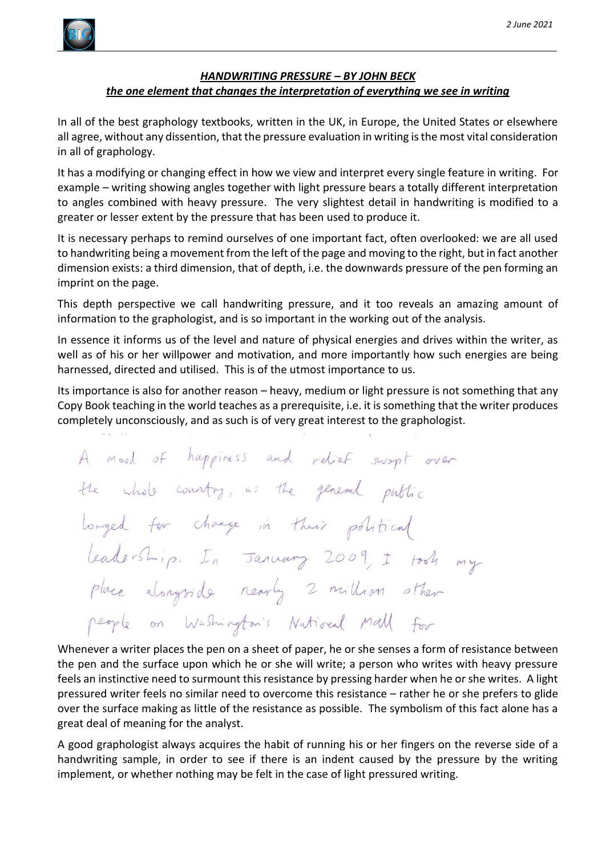

# *HANDWRITING PRESSURE – BY JOHN BECK the one element that changes the interpretation of everything we see in writing*

In all of the best graphology textbooks, written in the UK, in Europe, the United States or elsewhere all agree, without any dissention, that the pressure evaluation in writing is the most vital consideration in all of graphology.

It has a modifying or changing effect in how we view and interpret every single feature in writing. For example – writing showing angles together with light pressure bears a totally different interpretation to angles combined with heavy pressure. The very slightest detail in handwriting is modified to a greater or lesser extent by the pressure that has been used to produce it.

It is necessary perhaps to remind ourselves of one important fact, often overlooked: we are all used to handwriting being a movement from the left of the page and moving to the right, but in fact another dimension exists: a third dimension, that of depth, i.e. the downwards pressure of the pen forming an imprint on the page.

This depth perspective we call handwriting pressure, and it too reveals an amazing amount of information to the graphologist, and is so important in the working out of the analysis.

In essence it informs us of the level and nature of physical energies and drives within the writer, as well as of his or her willpower and motivation, and more importantly how such energies are being harnessed, directed and utilised. This is of the utmost importance to us.

Its importance is also for another reason – heavy, medium or light pressure is not something that any Copy Book teaching in the world teaches as a prerequisite, i.e. it is something that the writer produces completely unconsciously, and as such is of very great interest to the graphologist.

A mood of happiness and relief swept over the whole country, as the general public longed for change in their political leadership. In January 2009, I took my place alongside nearly 2 million other people on Washington's National Mall for

Whenever a writer places the pen on a sheet of paper, he or she senses a form of resistance between the pen and the surface upon which he or she will write; a person who writes with heavy pressure feels an instinctive need to surmount this resistance by pressing harder when he or she writes. A light pressured writer feels no similar need to overcome this resistance – rather he or she prefers to glide over the surface making as little of the resistance as possible. The symbolism of this fact alone has a great deal of meaning for the analyst.

A good graphologist always acquires the habit of running his or her fingers on the reverse side of a handwriting sample, in order to see if there is an indent caused by the pressure by the writing implement, or whether nothing may be felt in the case of light pressured writing.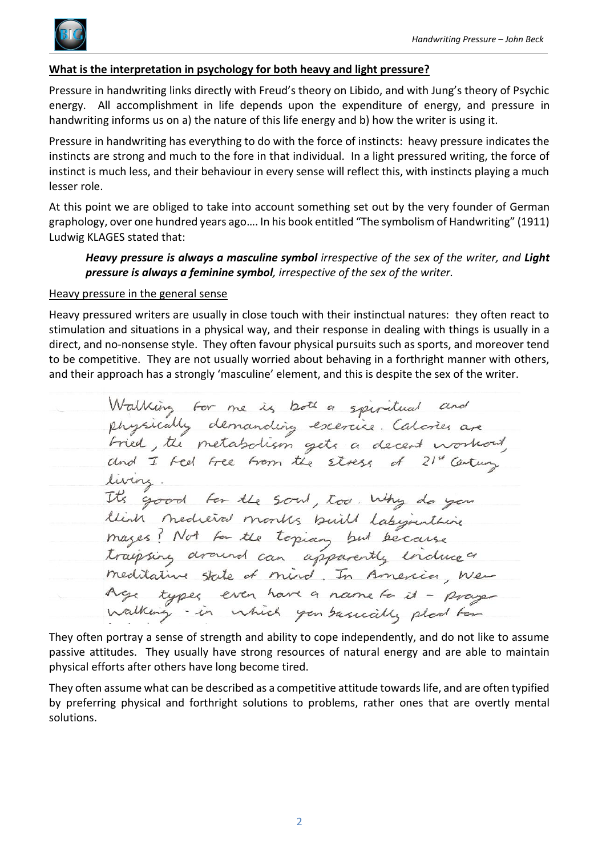

# **What is the interpretation in psychology for both heavy and light pressure?**

Pressure in handwriting links directly with Freud's theory on Libido, and with Jung's theory of Psychic energy. All accomplishment in life depends upon the expenditure of energy, and pressure in handwriting informs us on a) the nature of this life energy and b) how the writer is using it.

Pressure in handwriting has everything to do with the force of instincts: heavy pressure indicates the instincts are strong and much to the fore in that individual. In a light pressured writing, the force of instinct is much less, and their behaviour in every sense will reflect this, with instincts playing a much lesser role.

At this point we are obliged to take into account something set out by the very founder of German graphology, over one hundred years ago…. In his book entitled "The symbolism of Handwriting" (1911) Ludwig KLAGES stated that:

*Heavy pressure is always a masculine symbol irrespective of the sex of the writer, and Light pressure is always a feminine symbol, irrespective of the sex of the writer.*

#### Heavy pressure in the general sense

Heavy pressured writers are usually in close touch with their instinctual natures: they often react to stimulation and situations in a physical way, and their response in dealing with things is usually in a direct, and no-nonsense style. They often favour physical pursuits such as sports, and moreover tend to be competitive. They are not usually worried about behaving in a forthright manner with others, and their approach has a strongly 'masculine' element, and this is despite the sex of the writer.

Walking for me is both a spiritual and<br>physically demanding escercice Calories are<br>fried, the metabolism gets a decent workout,<br>and I feel free from the stress of 21" Century living. It's good for the soul, too. Why do you think medieval months built labijunthine mages? Not son the topian but because meditative state of mind. In America, Wen Age types even have a name to it - prage

They often portray a sense of strength and ability to cope independently, and do not like to assume passive attitudes. They usually have strong resources of natural energy and are able to maintain physical efforts after others have long become tired.

They often assume what can be described as a competitive attitude towards life, and are often typified by preferring physical and forthright solutions to problems, rather ones that are overtly mental solutions.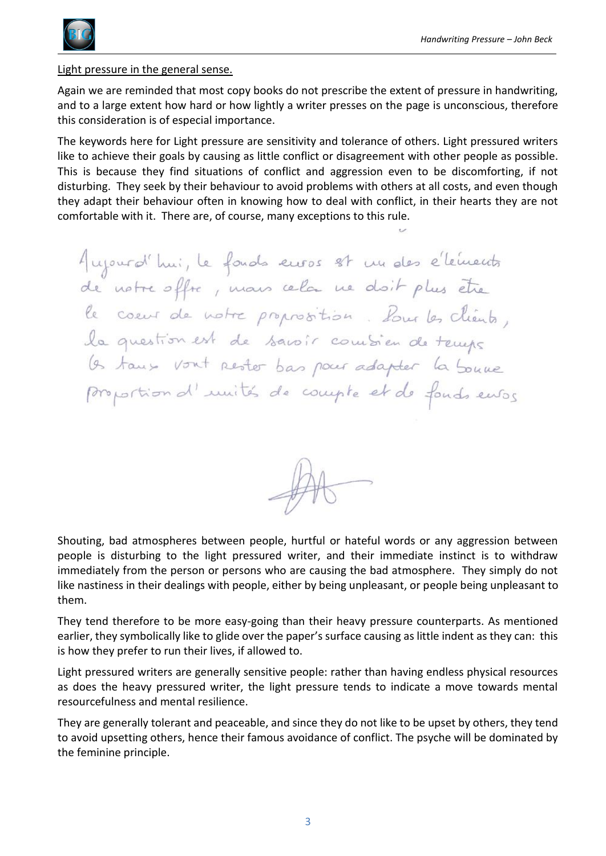

Light pressure in the general sense.

Again we are reminded that most copy books do not prescribe the extent of pressure in handwriting, and to a large extent how hard or how lightly a writer presses on the page is unconscious, therefore this consideration is of especial importance.

The keywords here for Light pressure are sensitivity and tolerance of others. Light pressured writers like to achieve their goals by causing as little conflict or disagreement with other people as possible. This is because they find situations of conflict and aggression even to be discomforting, if not disturbing. They seek by their behaviour to avoid problems with others at all costs, and even though they adapt their behaviour often in knowing how to deal with conflict, in their hearts they are not comfortable with it. There are, of course, many exceptions to this rule.

Aujourd'hui, le fonds euros st un des éléments de notre offre, mans cela ne doit plus être le coeur de notre proprosition. Pour les clients, (s taux vont rester bas pour adapter la boune proportion d'unités de compte et de fonds ensois



Shouting, bad atmospheres between people, hurtful or hateful words or any aggression between people is disturbing to the light pressured writer, and their immediate instinct is to withdraw immediately from the person or persons who are causing the bad atmosphere. They simply do not like nastiness in their dealings with people, either by being unpleasant, or people being unpleasant to them.

They tend therefore to be more easy-going than their heavy pressure counterparts. As mentioned earlier, they symbolically like to glide over the paper's surface causing as little indent as they can: this is how they prefer to run their lives, if allowed to.

Light pressured writers are generally sensitive people: rather than having endless physical resources as does the heavy pressured writer, the light pressure tends to indicate a move towards mental resourcefulness and mental resilience.

They are generally tolerant and peaceable, and since they do not like to be upset by others, they tend to avoid upsetting others, hence their famous avoidance of conflict. The psyche will be dominated by the feminine principle.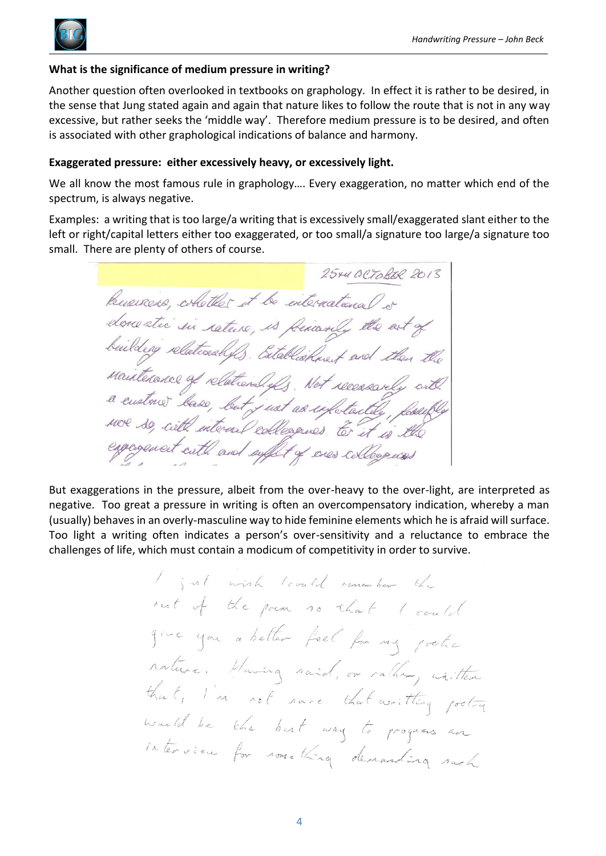## **What is the significance of medium pressure in writing?**

Another question often overlooked in textbooks on graphology. In effect it is rather to be desired, in the sense that Jung stated again and again that nature likes to follow the route that is not in any way excessive, but rather seeks the 'middle way'. Therefore medium pressure is to be desired, and often is associated with other graphological indications of balance and harmony.

### **Exaggerated pressure: either excessively heavy, or excessively light.**

We all know the most famous rule in graphology…. Every exaggeration, no matter which end of the spectrum, is always negative.

Examples: a writing that is too large/a writing that is excessively small/exaggerated slant either to the left or right/capital letters either too exaggerated, or too small/a signature too large/a signature too small. There are plenty of others of course.

25×40CTOBER 2013 Business, whether it be international or donestic in rateire, is feriarily the art of beilding relationships. Establishment and then Mainterance of relation lefts. Not receasively with MOR so, with internal colleagues to it is the espagement with and suffert of enes colleagues

But exaggerations in the pressure, albeit from the over-heavy to the over-light, are interpreted as negative. Too great a pressure in writing is often an overcompensatory indication, whereby a man (usually) behaves in an overly-masculine way to hide feminine elements which he is afraid will surface. Too light a writing often indicates a person's over-sensitivity and a reluctance to embrace the challenges of life, which must contain a modicum of competitivity in order to survive.

> I just wish levald remember the nest of the poem so that I could give you a better feel for my protic nature. Having said, or rather, whitten that, I'm not save that writting pretting wanted be the best way to progress an interview for something demanding such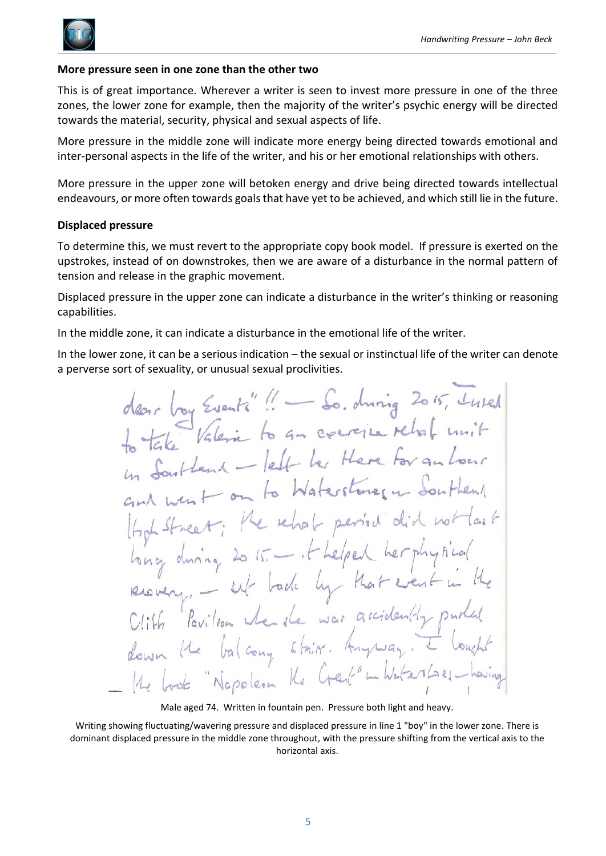

### **More pressure seen in one zone than the other two**

This is of great importance. Wherever a writer is seen to invest more pressure in one of the three zones, the lower zone for example, then the majority of the writer's psychic energy will be directed towards the material, security, physical and sexual aspects of life.

More pressure in the middle zone will indicate more energy being directed towards emotional and inter-personal aspects in the life of the writer, and his or her emotional relationships with others.

More pressure in the upper zone will betoken energy and drive being directed towards intellectual endeavours, or more often towards goals that have yet to be achieved, and which still lie in the future.

## **Displaced pressure**

To determine this, we must revert to the appropriate copy book model. If pressure is exerted on the upstrokes, instead of on downstrokes, then we are aware of a disturbance in the normal pattern of tension and release in the graphic movement.

Displaced pressure in the upper zone can indicate a disturbance in the writer's thinking or reasoning capabilities.

In the middle zone, it can indicate a disturbance in the emotional life of the writer.

In the lower zone, it can be a serious indication – the sexual or instinctual life of the writer can denote a perverse sort of sexuality, or unusual sexual proclivities.

boy Events"! - So. during 2015, Luked the Valerie to an exercise relationity to Take montent - left her Here For an hour on to Waterstones in e rehab period  $2015 - 16$  helper during I hade by that  $en$  $\vdash$ the Pavilion when the war accidental balcony strict. Amplian. "Nopoleon Ke Creek"

Male aged 74. Written in fountain pen. Pressure both light and heavy.

Writing showing fluctuating/wavering pressure and displaced pressure in line 1 "boy" in the lower zone. There is dominant displaced pressure in the middle zone throughout, with the pressure shifting from the vertical axis to the horizontal axis.